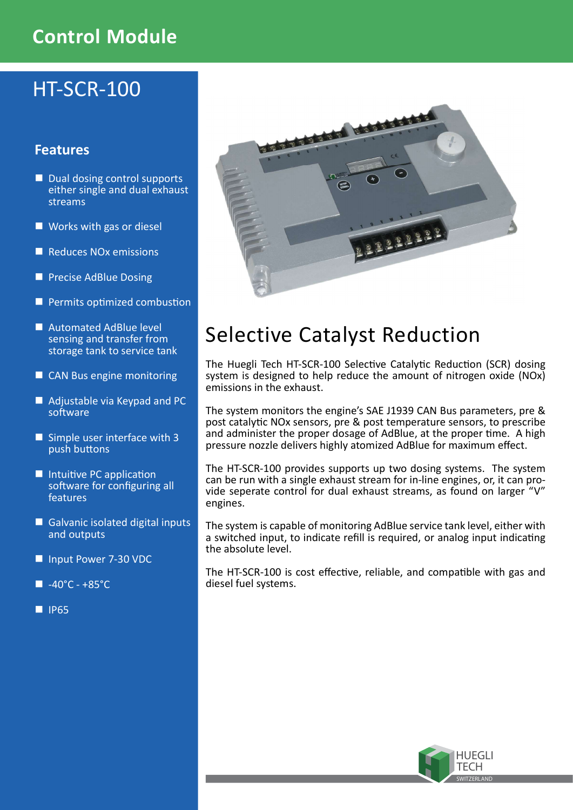## Control Module

# HT-SCR-100

## Features

- Dual dosing control supports either single and dual exhaust streams
- **Works with gas or diesel**
- Reduces NO<sub>x</sub> emissions
- **Precise AdBlue Dosing**
- **Permits optimized combustion**
- Automated AdBlue level sensing and transfer from storage tank to service tank
- CAN Bus engine monitoring
- Adjustable via Keypad and PC software
- Simple user interface with 3 push buttons
- $\blacksquare$  Intuitive PC application software for configuring all features
- Galvanic isolated digital inputs and outputs
- Input Power 7-30 VDC
- $\blacksquare$  -40°C +85°C
- $\blacksquare$  IP65



# Selective Catalyst Reduction

The Huegli Tech HT-SCR-100 Selective Catalytic Reduction (SCR) dosing system is designed to help reduce the amount of nitrogen oxide (NOx) emissions in the exhaust.

The system monitors the engine's SAE J1939 CAN Bus parameters, pre & post catalytic NO<sub>x</sub> sensors, pre & post temperature sensors, to prescribe and administer the proper dosage of AdBlue, at the proper time. A high pressure nozzle delivers highly atomized AdBlue for maximum effect.

The HT-SCR-100 provides supports up two dosing systems. The system can be run with a single exhaust stream for in-line engines, or, it can provide seperate control for dual exhaust streams, as found on larger "V" engines.

The system is capable of monitoring AdBlue service tank level, either with a switched input, to indicate refill is required, or analog input indicating the absolute level.

The HT-SCR-100 is cost effective, reliable, and compatible with gas and diesel fuel systems.